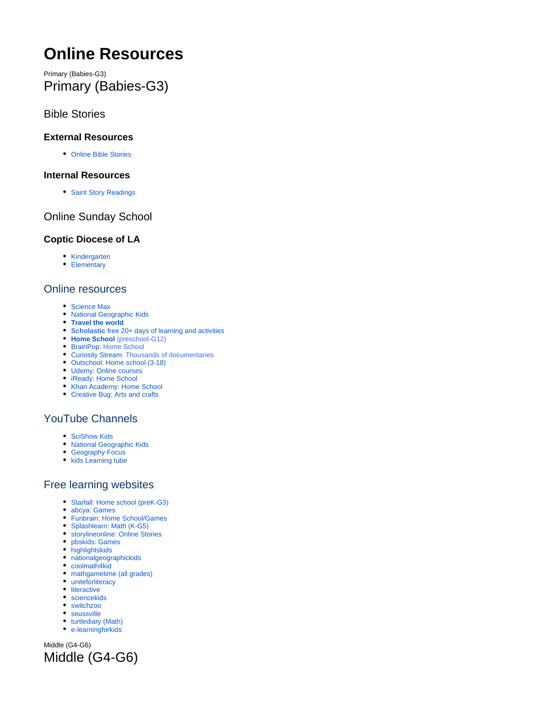# <span id="page-0-0"></span>**Online Resources**

Primary (Babies-G3) Primary (Babies-G3)

## Bible Stories

#### **External Resources**

[Online Bible Stories](https://biblepathwayadventures.com/?fbclid=IwAR0yAlFBjw_F5nq5qbMLPgwABfHkRLUUQ9vJ4t7F-A7RYaal8_ErEMNimUg)

#### **Internal Resources**

• [Saint Story Readings](https://www.youtube.com/watch?v=XWgiNrpkih4&list=PL4XO9Spem4UC7R6QtJlawAWA-K9s1mfF7)

# Online Sunday School

#### **Coptic Diocese of LA**

- [Kindergarten](https://coptic.education/coptunes)
- [Elementary](https://coptic.education/elementary)

## Online resources

- [Science Max](https://emerginginvestigators.org/?gclid=Cj0KCQjw6_vzBRCIARIsAOs54z6r9xwbFSyaerxb3XhSL1ikp29c3nO1j1cKNyJQwF0eBQM_GLGKtZUaAoydEALw_wcB)
- [National Geographic Kids](https://ngkidsubs.nationalgeographic.com/pubs/NG/NKD/nkd_gift_cs_search_printonly_236270.jsp?cds_page_id=236270&cds_mag_code=NKD&id=1585442418618&lsid=30881940186014557&vid=1&gclsrc=aw.ds&cds_response_key=I9CSG43L0&gclid=Cj0KCQjw6_vzBRCIARIsAOs54z4MKuOVbFX0uAUqgtQE4LCSlQGFQcC_nF_CXYQEmHsr1SyY7WFHO2UaAiAqEALw_wcB&ds_rl=1265457)
- **[Travel the world](https://www.travelandleisure.com/attractions/museums-galleries/museums-with-virtual-tours?fbclid=IwAR3wwgaqNNkHqc-Mw3jhM6O4sASRe5Tpmv3a2pMX_8eooDgYERbdQDI4kqo)**
- **Scholastic** [free 20+ days of learning and activities](https://classroommagazines.scholastic.com/support/learnathome.html?fbclid=IwAR0WtkJobVPCkKnTBn7LOpD0jT3kS6Br67fHCR84AUFV6C7T6ju0tEgZf4I)
- **[Home School](https://allinonehomeschool.com/?fbclid=IwAR1GGCscXpfRJKfSvQIKpmcwWC9sx-r8NoSSd1YPpJXEPeyc1-0psOAeGrM)** [\(preschool-G12\)](https://allinonehomeschool.com/?fbclid=IwAR1GGCscXpfRJKfSvQIKpmcwWC9sx-r8NoSSd1YPpJXEPeyc1-0psOAeGrM)
- [BrainPop:](https://www.brainpop.com/) Home School
- [Curiosity Stream:](https://curiositystream.com/) Thousands of documentaries
- [Outschool: Home school \(3-18\)](https://outschool.com/)
- [Udemy: Online courses](https://www.udemy.com/?utm_source=adwords-brand&utm_medium=udemyads&utm_campaign=Brand_Udemy_CA&utm_term=_._ag_69218825991_._ad_331134072129_._de_c_._dm__._pl__._ti_kwd-310556426868_._li_1001920_._pd__._&utm_term=_._pd__._kw_udemy_._&matchtype=e&gclid=Cj0KCQjwsYb0BRCOARIsAHbLPhFpX2Z-G63wL8V_BjcDix1FjZ8XFZT-AioJipWd09Txc1Kz94JnzssaAkYREALw_wcB)
- [iReady: Home School](https://login.i-ready.com/)
- [Khan Academy: Home School](https://www.khanacademy.org/) [Creative Bug: Arts and crafts](https://www.creativebug.com/)

# YouTube Channels

- [SciShow Kids](https://www.youtube.com/user/scishowkids)
- [National Geographic Kids](https://www.youtube.com/channel/UCXVCgDuD_QCkI7gTKU7-tpg/videos)
- [Geography Focus](https://www.youtube.com/channel/UC8HYERScBt-e0kV0fpe0asg)
- **kids** Learning tube

## Free learning websites

- [Starfall: Home school \(preK-G3\)](https://www.starfall.com/h/?fbclid=IwAR2qFqGE5bb0JoKf_fhTlOH2AM1-F2EvlyNIl-QiKsMwZ5gOMdoKdELV9rw)
- [abcya:](https://l.facebook.com/l.php?u=https%3A%2F%2Fwww.abcya.com%2F%3Ffbclid%3DIwAR3pxfTnMjxhlVLJqS2RKB-uOraOnp34IVEVc02ueX68B10aFNfMiZwQIKU&h=AT0MhEmjZBWbO17QGrw9dxH-EP64A1q9_T1A2wOxZ2e3N5DoC0HYs7K9AXR2uMO9ZJr_PqqnovcP1YM5JcjisNuCi_t4KBhqvS6G9uXQ2N0JFxb0EevgKFS8Sym-s9X5g9c1UHgjjyD5TTx8kNK4BFmXjPs) [Games](https://www.abcya.com/?fbclid=IwAR3pxfTnMjxhlVLJqS2RKB-uOraOnp34IVEVc02ueX68B10aFNfMiZwQIKU)
- [Funbrain:](https://l.facebook.com/l.php?u=https%3A%2F%2Fwww.funbrain.com%2F%3Ffbclid%3DIwAR1MSv0fhlc7fj24pMRnTOq0eoIJGM-WH7qilMzrnn6AHptJ0Z3-7xR6j8o&h=AT14-Q-hkIpoq2GYgoh1DHp0dauR1Rln7tP6-LO43ahs9XSBXiXCQRy3FJHPqlLA_Ohojgu4qIpC6vrBoc9IcJVg0U-LhXqISVny3IEVrf8op1RWWr335k4hFs6F76h5XcpTBvcnfagQq6q9NIQO9CBMsUk) [Home School/Games](https://www.funbrain.com/?fbclid=IwAR1MSv0fhlc7fj24pMRnTOq0eoIJGM-WH7qilMzrnn6AHptJ0Z3-7xR6j8o)
- [Splashlearn:](https://l.facebook.com/l.php?u=https%3A%2F%2Fwww.splashlearn.com%2F%3Ffbclid%3DIwAR13JomwTGISXk5vKJBLnqd_EUs8EbWy7BY2_bbA3tGuVyFPPsio7yc6zMs&h=AT3DnikFl0L2-IEqrRrXXPgM52rS6gQ0NV9xst3EJTqokbg0NCaCVB-Uoj30Z7nEhsDdK6ZZOnT4inb7eVsXyUdXhBAhGpaArT4-uCkONpn-fxzDIMJkoXhhlzFMYmU40lgU8YEEGn6qPJhljXNffyTixNs) [Math \(K-G5\)](https://www.splashlearn.com/?fbclid=IwAR13JomwTGISXk5vKJBLnqd_EUs8EbWy7BY2_bbA3tGuVyFPPsio7yc6zMs)
- [storylineonline:](https://l.facebook.com/l.php?u=https%3A%2F%2Fwww.storylineonline.net%2F%3Ffbclid%3DIwAR0zcP1jpqgcHpMgfdfw6wr5MaJz--4DxH6VACrik2nWOwmvOhr6TuoX3RQ&h=AT0jrzDKOFlRGpTuO4EP9CbUUNFFhE6GRYNe5rPLp7c9WTwhTxN7tUeTQxm-mUELJ7xSClXn9MnspJ8IM9X_1wps3iHXR60TbfHTzelx6Kfww07DgD8y9UX7C3jrz9ooX9G2Nc7Pl-QfeDJZOrbcctFnc_k) [Online Stories](https://www.storylineonline.net/?fbclid=IwAR0zcP1jpqgcHpMgfdfw6wr5MaJz--4DxH6VACrik2nWOwmvOhr6TuoX3RQ)
- [pbskids:](https://l.facebook.com/l.php?u=https%3A%2F%2Fpbskids.org%2F%3Ffbclid%3DIwAR2AGOLOXMwao9C6AwsPNiTVEXt_cnZspbLsWdeJzVCo4PIaA34rQqb03EM&h=AT2yKpUeF51M6OhFD75axApWjM52VWBe8-Rva_NqmJT6h9Lqm9kdelMuVAVkOxXRz-jbClW09gPb8S8Ca9dc7XjEBZjEy7KjfgLchkFj7__H_2Jj42mLG8MKscchbvR3H72bjtrYt3vzPpNGaSPeWBC0fbU) [Games](https://pbskids.org/?fbclid=IwAR2AGOLOXMwao9C6AwsPNiTVEXt_cnZspbLsWdeJzVCo4PIaA34rQqb03EM)
- [highlightskids](https://www.highlightskids.com/?fbclid=IwAR2kTDxQVvfNNJxzeTuUOEgncB9VEUsTZRzF5xzURJlvVQkJKnxTsmJ_QSE)
- [nationalgeographickids](https://kids.nationalgeographic.com/?fbclid=IwAR2ATgOcHyFwsBdnXcfJ82ywk_6Q-GQlQslOF7-LEyhvTpgosFYpRO2KUVI)
- [coolmath4kid](https://www.coolmath4kids.com/?fbclid=IwAR2tL3ibL5LkagRb6QNBUycgUilYNflKxzvr8Ef4--Kl_id6A6n3SnlMiVM)
- [mathgametime](https://l.facebook.com/l.php?u=http%3A%2F%2Fwww.mathgametime.com%2F%3Ffbclid%3DIwAR3F1wjfv5gTgVATmVuZE6slnloMdHOy2-9w7jyDdP-FTaVjgDkVRLaSYEI&h=AT0L8OXiQvI1C2jMEocYDNIaUXqQWD5941cCa6AQtUBLsTYTEnRMYSMJStkxZZhF2v4bIc6RbRXdPA3SSY477G6EVM6paT8Ie0FRbCyIGEonsfcLYMXfpxU-rFflQKQvPk1v3X0f9rc6uzXGrw9UJVJS4sc) [\(all grades\)](http://www.mathgametime.com/?fbclid=IwAR3F1wjfv5gTgVATmVuZE6slnloMdHOy2-9w7jyDdP-FTaVjgDkVRLaSYEI)
- [uniteforliteracy](https://www.uniteforliteracy.com/?fbclid=IwAR15R4YkRzqkiGjFqs3ZBXaRLk5LIVbj-dsnR9Z-HpbSSo1UBHGb46uHkP4)
- [literactive](http://www.literactive.com/Home/index.asp?fbclid=IwAR0CGmwUhvlM-4Pb1fEW0xNFUZtygmmmSdRmWamhy3ozOMTO9IEiP8woi1M)
- [sciencekids](http://www.sciencekids.co.nz/?fbclid=IwAR1aeHXIMRJ8TFApUoDiTS4Qmx92m5VXQfEzL88jCI2m6250nRJ46f_gD6E)
- [switchzoo](https://www.switchzoo.com/?fbclid=IwAR1MDun7LYASqsQWqyiPpZqYtvjtVKmuTpAjPwx8VAcqJBuZu84Bh1VyER4)
- [seussville](https://www.seussville.com/?fbclid=IwAR3y3D0HEyMZ6jNADfdowvGaTP5hdALlx2V789XoNzCUsO5hn_b7DQI_G8I)
- [turtlediary \(Math\)](https://www.turtlediary.com/?fbclid=IwAR0nuCsraWMRbXlvWgSPVboHJpL0FcvuC299yKq-XWlT1uWYS_Pfl8stkgQ) [e-learningforkids](https://www.e-learningforkids.org/?fbclid=IwAR1F2ZfH6qqUWWQhV8sFi0aQl3ozGq9akhk6i3RAIG_WNKZ9OvEKDKThNLM)

Middle (G4-G6) Middle (G4-G6)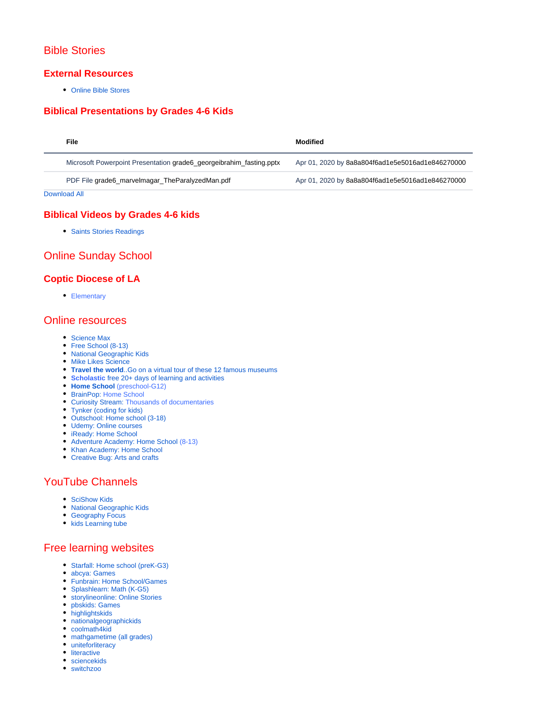# Bible Stories

#### **External Resources**

[Online Bible Stores](https://biblepathwayadventures.com/?fbclid=IwAR0yAlFBjw_F5nq5qbMLPgwABfHkRLUUQ9vJ4t7F-A7RYaal8_ErEMNimUg)

#### **Biblical Presentations by Grades 4-6 Kids**

| File |                                                                      | <b>Modified</b>                                  |
|------|----------------------------------------------------------------------|--------------------------------------------------|
|      | Microsoft Powerpoint Presentation grade 6 georgeibrahim fasting.pptx | Apr 01, 2020 by 8a8a804f6ad1e5e5016ad1e846270000 |
|      | PDF File grade6_marvelmagar_TheParalyzedMan.pdf                      | Apr 01, 2020 by 8a8a804f6ad1e5e5016ad1e846270000 |

[Download All](https://ss.stgeorge.ca/pages/downloadallattachments.action?pageId=23560198)

#### **Biblical Videos by Grades 4-6 kids**

• [Saints Stories Readings](https://www.youtube.com/watch?v=XWgiNrpkih4&list=PL4XO9Spem4UC7R6QtJlawAWA-K9s1mfF7)

# Online Sunday School

#### **Coptic Diocese of LA**

• [Elementary](https://coptic.education/elementary)

#### Online resources

- [Science Max](https://emerginginvestigators.org/?gclid=Cj0KCQjw6_vzBRCIARIsAOs54z6r9xwbFSyaerxb3XhSL1ikp29c3nO1j1cKNyJQwF0eBQM_GLGKtZUaAoydEALw_wcB)
- [Free School \(8-13\)](https://www.adventureacademy.com/?src_tag=nonbrand::goog:ca&utm_campaignid=6571766074&utm_adgroupid=84338286368&utm_adextensionid=&utm_targetid=kwd-296512887336&utm_matchtype=b&utm_network=g&utm_device=c&utm_devicemodel=&utm_creativeid=385738349914&utm_placement=&utm_adposition=&utm_geo=US&gclid=Cj0KCQjw6_vzBRCIARIsAOs54z6wi4f9_2EO4El8acEwSN4IUJTUn9CCp4lsUIICrn7nsQH1ksAAHEkaAq72EALw_wcB)
- [National Geographic Kids](https://ngkidsubs.nationalgeographic.com/pubs/NG/NKD/nkd_gift_cs_search_printonly_236270.jsp?cds_page_id=236270&cds_mag_code=NKD&id=1585442418618&lsid=30881940186014557&vid=1&gclsrc=aw.ds&cds_response_key=I9CSG43L0&gclid=Cj0KCQjw6_vzBRCIARIsAOs54z4MKuOVbFX0uAUqgtQE4LCSlQGFQcC_nF_CXYQEmHsr1SyY7WFHO2UaAiAqEALw_wcB&ds_rl=1265457)
- [Mike Likes Science](https://scienceatlantic.ca/conferences/?gclid=Cj0KCQjw6_vzBRCIARIsAOs54z7vgju6ugscecAROssPDGuM1qUAKD6LtqzoWLv_wRHMQqx60owvIMkaAsZ6EALw_wcB)
- **Travel the world**[..Go on a virtual tour of these 12 famous museums](https://www.travelandleisure.com/attractions/museums-galleries/museums-with-virtual-tours?fbclid=IwAR3wwgaqNNkHqc-Mw3jhM6O4sASRe5Tpmv3a2pMX_8eooDgYERbdQDI4kqo)
- **Scholastic** [free 20+ days of learning and activities](https://classroommagazines.scholastic.com/support/learnathome.html?fbclid=IwAR0WtkJobVPCkKnTBn7LOpD0jT3kS6Br67fHCR84AUFV6C7T6ju0tEgZf4I)
- **[Home School](https://allinonehomeschool.com/?fbclid=IwAR1GGCscXpfRJKfSvQIKpmcwWC9sx-r8NoSSd1YPpJXEPeyc1-0psOAeGrM)** [\(preschool-G12\)](https://allinonehomeschool.com/?fbclid=IwAR1GGCscXpfRJKfSvQIKpmcwWC9sx-r8NoSSd1YPpJXEPeyc1-0psOAeGrM)
- [BrainPop:](https://www.brainpop.com/) Home School
- [Curiosity Stream:](https://curiositystream.com/) Thousands of documentaries
- [Tynker \(coding for kids\)](https://www.tynker.com/)
- [Outschool: Home school \(3-18\)](https://outschool.com/)
- [Udemy: Online courses](https://www.udemy.com/?utm_source=adwords-brand&utm_medium=udemyads&utm_campaign=Brand_Udemy_CA&utm_term=_._ag_69218825991_._ad_331134072129_._de_c_._dm__._pl__._ti_kwd-310556426868_._li_1001920_._pd__._&utm_term=_._pd__._kw_udemy_._&matchtype=e&gclid=Cj0KCQjwsYb0BRCOARIsAHbLPhFpX2Z-G63wL8V_BjcDix1FjZ8XFZT-AioJipWd09Txc1Kz94JnzssaAkYREALw_wcB)
- [iReady: Home School](https://login.i-ready.com/)
- [Adventure Academy: Home School](https://www.adventureacademy.com/?src_tag=nonbrand::goog:ca&utm_campaignid=6571766074&utm_adgroupid=84338285168&utm_adextensionid=&utm_targetid=kwd-359449184544&utm_matchtype=b&utm_network=g&utm_device=c&utm_devicemodel=&utm_creativeid=385732393848&utm_placement=&utm_adposition=&utm_geo=US&gclid=Cj0KCQjwsYb0BRCOARIsAHbLPhHVdF5sQcDdT4xsCqiNTqaCYAA0l9d5uOUk9ECyNGQ1Yfr482-A19gaAmRiEALw_wcB) (8-13)
- [Khan Academy: Home School](https://www.khanacademy.org/)
- [Creative Bug: Arts and crafts](https://www.creativebug.com/)

# YouTube Channels

- [SciShow Kids](https://www.youtube.com/user/scishowkids)
- [National Geographic Kids](https://www.youtube.com/channel/UCXVCgDuD_QCkI7gTKU7-tpg/videos)
- [Geography Focus](https://www.youtube.com/channel/UC8HYERScBt-e0kV0fpe0asg)
- [kids Learning tube](https://www.youtube.com/channel/UC4c35j8wxClp0clpQ47lw_Q)

# Free learning websites

- [Starfall: Home school \(preK-G3\)](https://www.starfall.com/h/?fbclid=IwAR2qFqGE5bb0JoKf_fhTlOH2AM1-F2EvlyNIl-QiKsMwZ5gOMdoKdELV9rw)
- [abcya:](https://l.facebook.com/l.php?u=https%3A%2F%2Fwww.abcya.com%2F%3Ffbclid%3DIwAR3pxfTnMjxhlVLJqS2RKB-uOraOnp34IVEVc02ueX68B10aFNfMiZwQIKU&h=AT0MhEmjZBWbO17QGrw9dxH-EP64A1q9_T1A2wOxZ2e3N5DoC0HYs7K9AXR2uMO9ZJr_PqqnovcP1YM5JcjisNuCi_t4KBhqvS6G9uXQ2N0JFxb0EevgKFS8Sym-s9X5g9c1UHgjjyD5TTx8kNK4BFmXjPs) [Games](https://www.abcya.com/?fbclid=IwAR3pxfTnMjxhlVLJqS2RKB-uOraOnp34IVEVc02ueX68B10aFNfMiZwQIKU)
- [Funbrain:](https://l.facebook.com/l.php?u=https%3A%2F%2Fwww.funbrain.com%2F%3Ffbclid%3DIwAR1MSv0fhlc7fj24pMRnTOq0eoIJGM-WH7qilMzrnn6AHptJ0Z3-7xR6j8o&h=AT14-Q-hkIpoq2GYgoh1DHp0dauR1Rln7tP6-LO43ahs9XSBXiXCQRy3FJHPqlLA_Ohojgu4qIpC6vrBoc9IcJVg0U-LhXqISVny3IEVrf8op1RWWr335k4hFs6F76h5XcpTBvcnfagQq6q9NIQO9CBMsUk) [Home School/Games](https://www.funbrain.com/?fbclid=IwAR1MSv0fhlc7fj24pMRnTOq0eoIJGM-WH7qilMzrnn6AHptJ0Z3-7xR6j8o)
- [Splashlearn:](https://l.facebook.com/l.php?u=https%3A%2F%2Fwww.splashlearn.com%2F%3Ffbclid%3DIwAR13JomwTGISXk5vKJBLnqd_EUs8EbWy7BY2_bbA3tGuVyFPPsio7yc6zMs&h=AT3DnikFl0L2-IEqrRrXXPgM52rS6gQ0NV9xst3EJTqokbg0NCaCVB-Uoj30Z7nEhsDdK6ZZOnT4inb7eVsXyUdXhBAhGpaArT4-uCkONpn-fxzDIMJkoXhhlzFMYmU40lgU8YEEGn6qPJhljXNffyTixNs) [Math \(K-G5\)](https://www.splashlearn.com/?fbclid=IwAR13JomwTGISXk5vKJBLnqd_EUs8EbWy7BY2_bbA3tGuVyFPPsio7yc6zMs)
- [storylineonline:](https://l.facebook.com/l.php?u=https%3A%2F%2Fwww.storylineonline.net%2F%3Ffbclid%3DIwAR0zcP1jpqgcHpMgfdfw6wr5MaJz--4DxH6VACrik2nWOwmvOhr6TuoX3RQ&h=AT0jrzDKOFlRGpTuO4EP9CbUUNFFhE6GRYNe5rPLp7c9WTwhTxN7tUeTQxm-mUELJ7xSClXn9MnspJ8IM9X_1wps3iHXR60TbfHTzelx6Kfww07DgD8y9UX7C3jrz9ooX9G2Nc7Pl-QfeDJZOrbcctFnc_k) [Online Stories](https://www.storylineonline.net/?fbclid=IwAR0zcP1jpqgcHpMgfdfw6wr5MaJz--4DxH6VACrik2nWOwmvOhr6TuoX3RQ) [pbskids:](https://l.facebook.com/l.php?u=https%3A%2F%2Fpbskids.org%2F%3Ffbclid%3DIwAR2AGOLOXMwao9C6AwsPNiTVEXt_cnZspbLsWdeJzVCo4PIaA34rQqb03EM&h=AT2yKpUeF51M6OhFD75axApWjM52VWBe8-Rva_NqmJT6h9Lqm9kdelMuVAVkOxXRz-jbClW09gPb8S8Ca9dc7XjEBZjEy7KjfgLchkFj7__H_2Jj42mLG8MKscchbvR3H72bjtrYt3vzPpNGaSPeWBC0fbU) [Games](https://pbskids.org/?fbclid=IwAR2AGOLOXMwao9C6AwsPNiTVEXt_cnZspbLsWdeJzVCo4PIaA34rQqb03EM)
- [highlightskids](https://www.highlightskids.com/?fbclid=IwAR2kTDxQVvfNNJxzeTuUOEgncB9VEUsTZRzF5xzURJlvVQkJKnxTsmJ_QSE)
- [nationalgeographickids](https://kids.nationalgeographic.com/?fbclid=IwAR2ATgOcHyFwsBdnXcfJ82ywk_6Q-GQlQslOF7-LEyhvTpgosFYpRO2KUVI)
- [coolmath4kid](https://www.coolmath4kids.com/?fbclid=IwAR2tL3ibL5LkagRb6QNBUycgUilYNflKxzvr8Ef4--Kl_id6A6n3SnlMiVM)
- [mathgametime](https://l.facebook.com/l.php?u=http%3A%2F%2Fwww.mathgametime.com%2F%3Ffbclid%3DIwAR3F1wjfv5gTgVATmVuZE6slnloMdHOy2-9w7jyDdP-FTaVjgDkVRLaSYEI&h=AT0L8OXiQvI1C2jMEocYDNIaUXqQWD5941cCa6AQtUBLsTYTEnRMYSMJStkxZZhF2v4bIc6RbRXdPA3SSY477G6EVM6paT8Ie0FRbCyIGEonsfcLYMXfpxU-rFflQKQvPk1v3X0f9rc6uzXGrw9UJVJS4sc) [\(all grades\)](http://www.mathgametime.com/?fbclid=IwAR3F1wjfv5gTgVATmVuZE6slnloMdHOy2-9w7jyDdP-FTaVjgDkVRLaSYEI)
- [uniteforliteracy](https://www.uniteforliteracy.com/?fbclid=IwAR15R4YkRzqkiGjFqs3ZBXaRLk5LIVbj-dsnR9Z-HpbSSo1UBHGb46uHkP4)
- **•** [literactive](http://www.literactive.com/Home/index.asp?fbclid=IwAR0CGmwUhvlM-4Pb1fEW0xNFUZtygmmmSdRmWamhy3ozOMTO9IEiP8woi1M)
- [sciencekids](http://www.sciencekids.co.nz/?fbclid=IwAR1aeHXIMRJ8TFApUoDiTS4Qmx92m5VXQfEzL88jCI2m6250nRJ46f_gD6E)
- [switchzoo](https://www.switchzoo.com/?fbclid=IwAR1MDun7LYASqsQWqyiPpZqYtvjtVKmuTpAjPwx8VAcqJBuZu84Bh1VyER4)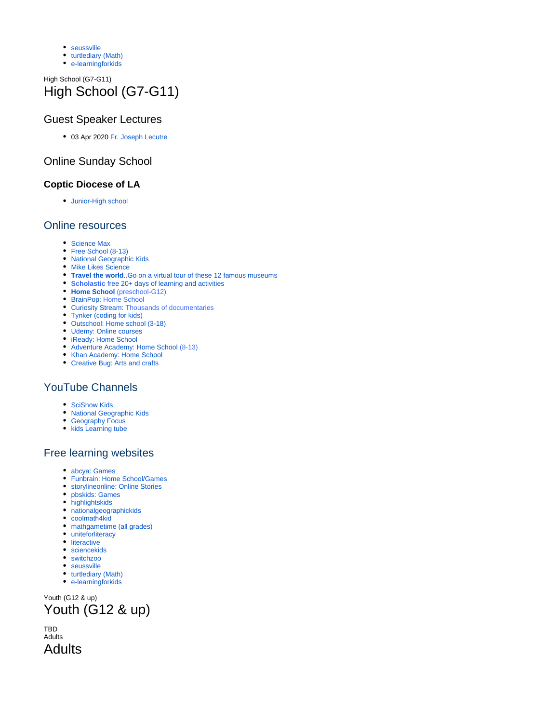- [seussville](https://www.seussville.com/?fbclid=IwAR3y3D0HEyMZ6jNADfdowvGaTP5hdALlx2V789XoNzCUsO5hn_b7DQI_G8I)
- [turtlediary \(Math\)](https://www.turtlediary.com/?fbclid=IwAR0nuCsraWMRbXlvWgSPVboHJpL0FcvuC299yKq-XWlT1uWYS_Pfl8stkgQ)
- [e-learningforkids](https://www.e-learningforkids.org/?fbclid=IwAR1F2ZfH6qqUWWQhV8sFi0aQl3ozGq9akhk6i3RAIG_WNKZ9OvEKDKThNLM)

# High School (G7-G11) High School (G7-G11)

# Guest Speaker Lectures

03 Apr 2020 [Fr. Joseph Lecutre](https://www.youtube.com/watch?v=jI1vcVRmdWo)

# Online Sunday School

## **Coptic Diocese of LA**

[Junior-High school](https://coptic.education/junior-high)

## Online resources

- [Science Max](https://emerginginvestigators.org/?gclid=Cj0KCQjw6_vzBRCIARIsAOs54z6r9xwbFSyaerxb3XhSL1ikp29c3nO1j1cKNyJQwF0eBQM_GLGKtZUaAoydEALw_wcB)
- [Free School \(8-13\)](https://www.adventureacademy.com/?src_tag=nonbrand::goog:ca&utm_campaignid=6571766074&utm_adgroupid=84338286368&utm_adextensionid=&utm_targetid=kwd-296512887336&utm_matchtype=b&utm_network=g&utm_device=c&utm_devicemodel=&utm_creativeid=385738349914&utm_placement=&utm_adposition=&utm_geo=US&gclid=Cj0KCQjw6_vzBRCIARIsAOs54z6wi4f9_2EO4El8acEwSN4IUJTUn9CCp4lsUIICrn7nsQH1ksAAHEkaAq72EALw_wcB)
- [National Geographic Kids](https://ngkidsubs.nationalgeographic.com/pubs/NG/NKD/nkd_gift_cs_search_printonly_236270.jsp?cds_page_id=236270&cds_mag_code=NKD&id=1585442418618&lsid=30881940186014557&vid=1&gclsrc=aw.ds&cds_response_key=I9CSG43L0&gclid=Cj0KCQjw6_vzBRCIARIsAOs54z4MKuOVbFX0uAUqgtQE4LCSlQGFQcC_nF_CXYQEmHsr1SyY7WFHO2UaAiAqEALw_wcB&ds_rl=1265457)
- [Mike Likes Science](https://scienceatlantic.ca/conferences/?gclid=Cj0KCQjw6_vzBRCIARIsAOs54z7vgju6ugscecAROssPDGuM1qUAKD6LtqzoWLv_wRHMQqx60owvIMkaAsZ6EALw_wcB)
- **Travel the world**[..Go on a virtual tour of these 12 famous museums](https://www.travelandleisure.com/attractions/museums-galleries/museums-with-virtual-tours?fbclid=IwAR3wwgaqNNkHqc-Mw3jhM6O4sASRe5Tpmv3a2pMX_8eooDgYERbdQDI4kqo)
- **Scholastic** [free 20+ days of learning and activities](https://classroommagazines.scholastic.com/support/learnathome.html?fbclid=IwAR0WtkJobVPCkKnTBn7LOpD0jT3kS6Br67fHCR84AUFV6C7T6ju0tEgZf4I)
- **[Home School](https://allinonehomeschool.com/?fbclid=IwAR1GGCscXpfRJKfSvQIKpmcwWC9sx-r8NoSSd1YPpJXEPeyc1-0psOAeGrM)** [\(preschool-G12\)](https://allinonehomeschool.com/?fbclid=IwAR1GGCscXpfRJKfSvQIKpmcwWC9sx-r8NoSSd1YPpJXEPeyc1-0psOAeGrM)
- [BrainPop:](https://www.brainpop.com/) Home School
- [Curiosity Stream:](https://curiositystream.com/) Thousands of documentaries
- [Tynker \(coding for kids\)](https://www.tynker.com/)
- [Outschool: Home school \(3-18\)](https://outschool.com/)
- [Udemy: Online courses](https://www.udemy.com/?utm_source=adwords-brand&utm_medium=udemyads&utm_campaign=Brand_Udemy_CA&utm_term=_._ag_69218825991_._ad_331134072129_._de_c_._dm__._pl__._ti_kwd-310556426868_._li_1001920_._pd__._&utm_term=_._pd__._kw_udemy_._&matchtype=e&gclid=Cj0KCQjwsYb0BRCOARIsAHbLPhFpX2Z-G63wL8V_BjcDix1FjZ8XFZT-AioJipWd09Txc1Kz94JnzssaAkYREALw_wcB)
- [iReady: Home School](https://login.i-ready.com/)
- [Adventure Academy: Home School](https://www.adventureacademy.com/?src_tag=nonbrand::goog:ca&utm_campaignid=6571766074&utm_adgroupid=84338285168&utm_adextensionid=&utm_targetid=kwd-359449184544&utm_matchtype=b&utm_network=g&utm_device=c&utm_devicemodel=&utm_creativeid=385732393848&utm_placement=&utm_adposition=&utm_geo=US&gclid=Cj0KCQjwsYb0BRCOARIsAHbLPhHVdF5sQcDdT4xsCqiNTqaCYAA0l9d5uOUk9ECyNGQ1Yfr482-A19gaAmRiEALw_wcB) (8-13)
- [Khan Academy: Home School](https://www.khanacademy.org/) [Creative Bug: Arts and crafts](https://www.creativebug.com/)

# YouTube Channels

- [SciShow Kids](https://www.youtube.com/user/scishowkids)
- [National Geographic Kids](https://www.youtube.com/channel/UCXVCgDuD_QCkI7gTKU7-tpg/videos)
- [Geography Focus](https://www.youtube.com/channel/UC8HYERScBt-e0kV0fpe0asg)
- [kids Learning tube](https://www.youtube.com/channel/UC4c35j8wxClp0clpQ47lw_Q)

## Free learning websites

- [abcya:](https://l.facebook.com/l.php?u=https%3A%2F%2Fwww.abcya.com%2F%3Ffbclid%3DIwAR3pxfTnMjxhlVLJqS2RKB-uOraOnp34IVEVc02ueX68B10aFNfMiZwQIKU&h=AT0MhEmjZBWbO17QGrw9dxH-EP64A1q9_T1A2wOxZ2e3N5DoC0HYs7K9AXR2uMO9ZJr_PqqnovcP1YM5JcjisNuCi_t4KBhqvS6G9uXQ2N0JFxb0EevgKFS8Sym-s9X5g9c1UHgjjyD5TTx8kNK4BFmXjPs) [Games](https://www.abcya.com/?fbclid=IwAR3pxfTnMjxhlVLJqS2RKB-uOraOnp34IVEVc02ueX68B10aFNfMiZwQIKU)
- [Funbrain:](https://l.facebook.com/l.php?u=https%3A%2F%2Fwww.funbrain.com%2F%3Ffbclid%3DIwAR1MSv0fhlc7fj24pMRnTOq0eoIJGM-WH7qilMzrnn6AHptJ0Z3-7xR6j8o&h=AT14-Q-hkIpoq2GYgoh1DHp0dauR1Rln7tP6-LO43ahs9XSBXiXCQRy3FJHPqlLA_Ohojgu4qIpC6vrBoc9IcJVg0U-LhXqISVny3IEVrf8op1RWWr335k4hFs6F76h5XcpTBvcnfagQq6q9NIQO9CBMsUk) [Home School/Games](https://www.funbrain.com/?fbclid=IwAR1MSv0fhlc7fj24pMRnTOq0eoIJGM-WH7qilMzrnn6AHptJ0Z3-7xR6j8o)
- [storylineonline:](https://l.facebook.com/l.php?u=https%3A%2F%2Fwww.storylineonline.net%2F%3Ffbclid%3DIwAR0zcP1jpqgcHpMgfdfw6wr5MaJz--4DxH6VACrik2nWOwmvOhr6TuoX3RQ&h=AT0jrzDKOFlRGpTuO4EP9CbUUNFFhE6GRYNe5rPLp7c9WTwhTxN7tUeTQxm-mUELJ7xSClXn9MnspJ8IM9X_1wps3iHXR60TbfHTzelx6Kfww07DgD8y9UX7C3jrz9ooX9G2Nc7Pl-QfeDJZOrbcctFnc_k) [Online Stories](https://www.storylineonline.net/?fbclid=IwAR0zcP1jpqgcHpMgfdfw6wr5MaJz--4DxH6VACrik2nWOwmvOhr6TuoX3RQ)
- [pbskids:](https://l.facebook.com/l.php?u=https%3A%2F%2Fpbskids.org%2F%3Ffbclid%3DIwAR2AGOLOXMwao9C6AwsPNiTVEXt_cnZspbLsWdeJzVCo4PIaA34rQqb03EM&h=AT2yKpUeF51M6OhFD75axApWjM52VWBe8-Rva_NqmJT6h9Lqm9kdelMuVAVkOxXRz-jbClW09gPb8S8Ca9dc7XjEBZjEy7KjfgLchkFj7__H_2Jj42mLG8MKscchbvR3H72bjtrYt3vzPpNGaSPeWBC0fbU) [Games](https://pbskids.org/?fbclid=IwAR2AGOLOXMwao9C6AwsPNiTVEXt_cnZspbLsWdeJzVCo4PIaA34rQqb03EM)
- [highlightskids](https://www.highlightskids.com/?fbclid=IwAR2kTDxQVvfNNJxzeTuUOEgncB9VEUsTZRzF5xzURJlvVQkJKnxTsmJ_QSE)
- [nationalgeographickids](https://kids.nationalgeographic.com/?fbclid=IwAR2ATgOcHyFwsBdnXcfJ82ywk_6Q-GQlQslOF7-LEyhvTpgosFYpRO2KUVI)
- [coolmath4kid](https://www.coolmath4kids.com/?fbclid=IwAR2tL3ibL5LkagRb6QNBUycgUilYNflKxzvr8Ef4--Kl_id6A6n3SnlMiVM)
- [mathgametime](https://l.facebook.com/l.php?u=http%3A%2F%2Fwww.mathgametime.com%2F%3Ffbclid%3DIwAR3F1wjfv5gTgVATmVuZE6slnloMdHOy2-9w7jyDdP-FTaVjgDkVRLaSYEI&h=AT0L8OXiQvI1C2jMEocYDNIaUXqQWD5941cCa6AQtUBLsTYTEnRMYSMJStkxZZhF2v4bIc6RbRXdPA3SSY477G6EVM6paT8Ie0FRbCyIGEonsfcLYMXfpxU-rFflQKQvPk1v3X0f9rc6uzXGrw9UJVJS4sc) [\(all grades\)](http://www.mathgametime.com/?fbclid=IwAR3F1wjfv5gTgVATmVuZE6slnloMdHOy2-9w7jyDdP-FTaVjgDkVRLaSYEI)
- [uniteforliteracy](https://www.uniteforliteracy.com/?fbclid=IwAR15R4YkRzqkiGjFqs3ZBXaRLk5LIVbj-dsnR9Z-HpbSSo1UBHGb46uHkP4) • [literactive](http://www.literactive.com/Home/index.asp?fbclid=IwAR0CGmwUhvlM-4Pb1fEW0xNFUZtygmmmSdRmWamhy3ozOMTO9IEiP8woi1M)
- [sciencekids](http://www.sciencekids.co.nz/?fbclid=IwAR1aeHXIMRJ8TFApUoDiTS4Qmx92m5VXQfEzL88jCI2m6250nRJ46f_gD6E)
- [switchzoo](https://www.switchzoo.com/?fbclid=IwAR1MDun7LYASqsQWqyiPpZqYtvjtVKmuTpAjPwx8VAcqJBuZu84Bh1VyER4)
- [seussville](https://www.seussville.com/?fbclid=IwAR3y3D0HEyMZ6jNADfdowvGaTP5hdALlx2V789XoNzCUsO5hn_b7DQI_G8I)
- [turtlediary \(Math\)](https://www.turtlediary.com/?fbclid=IwAR0nuCsraWMRbXlvWgSPVboHJpL0FcvuC299yKq-XWlT1uWYS_Pfl8stkgQ)
- [e-learningforkids](https://www.e-learningforkids.org/?fbclid=IwAR1F2ZfH6qqUWWQhV8sFi0aQl3ozGq9akhk6i3RAIG_WNKZ9OvEKDKThNLM)

Youth (G12 & up) Youth (G12 & up)

TBD Adults Adults